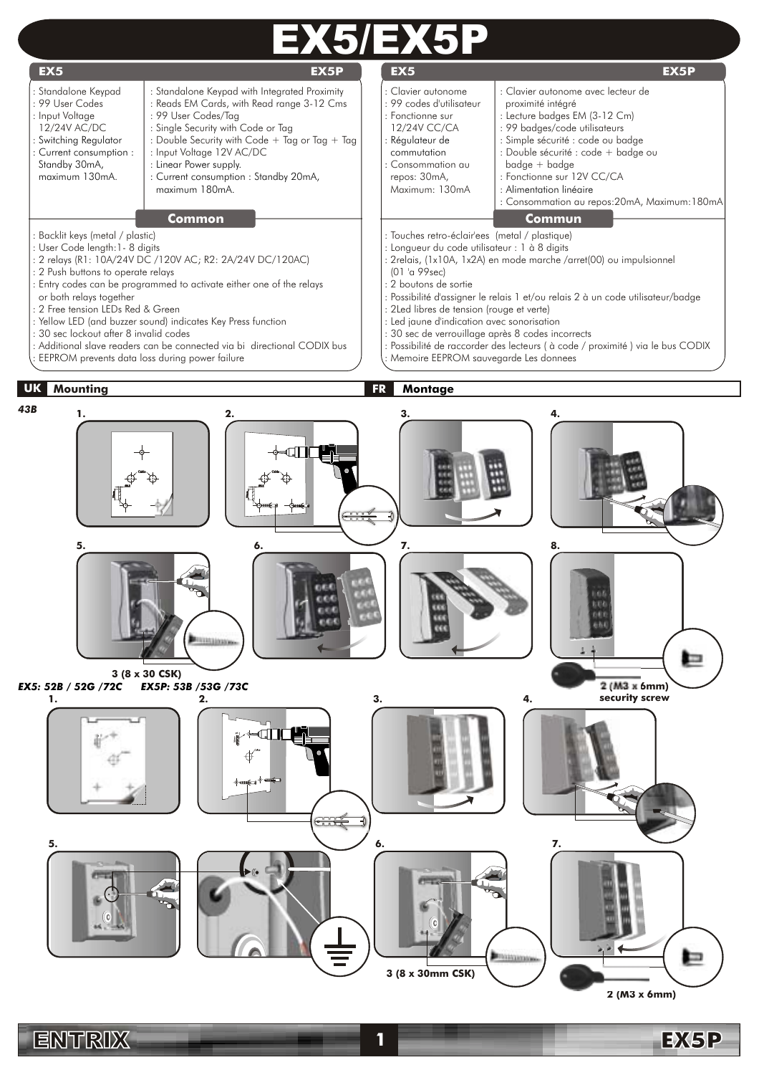





**3 (8 x 30mm CSK)**

**Gillianna** 

**2 (M3 x 6mm)**

ь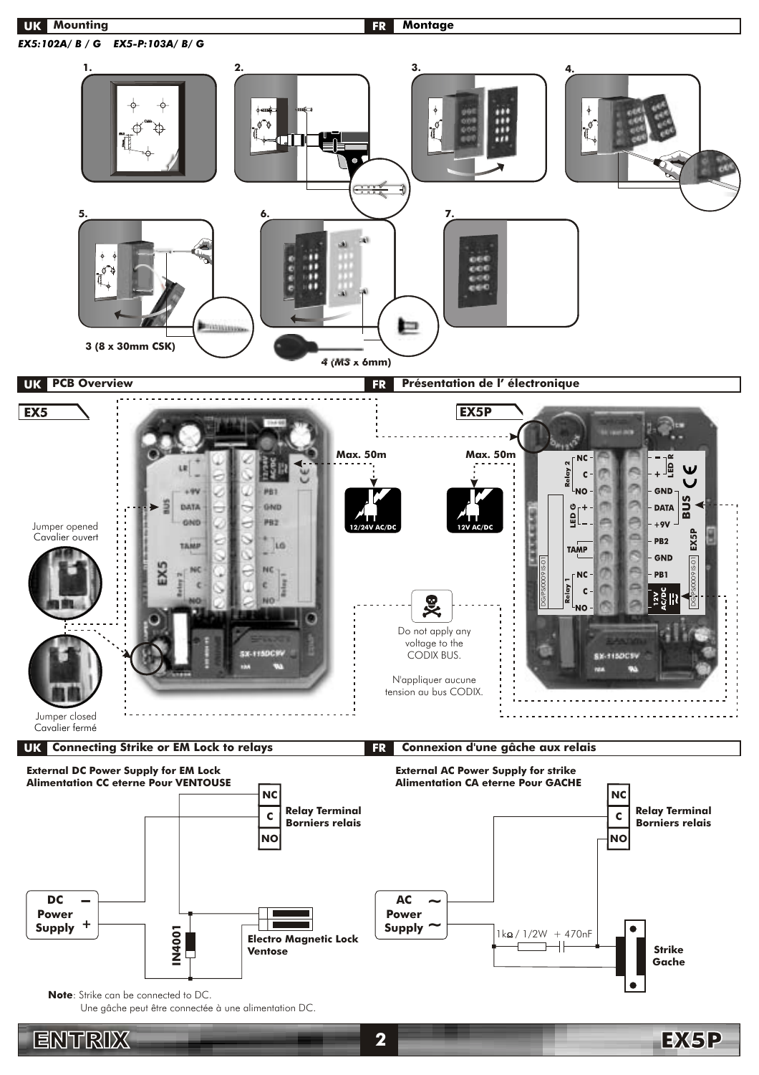

ENTRIX **2**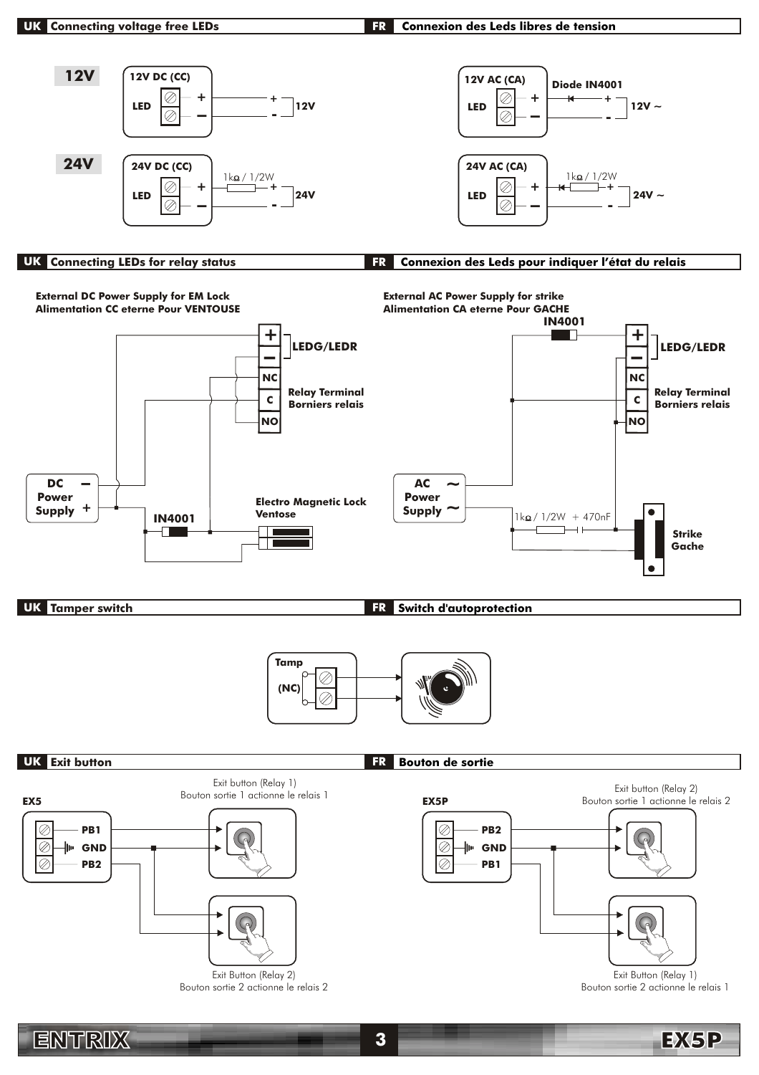### **Connexion des Leds libres de tension FR**



# **UK Connecting LEDs for relay status FR Connexion des Leds pour indiquer l'état du relais**



Bouton sortie 2 actionne le relais 2

Bouton sortie 2 actionne le relais 1

EX5P

ENTRIX **3**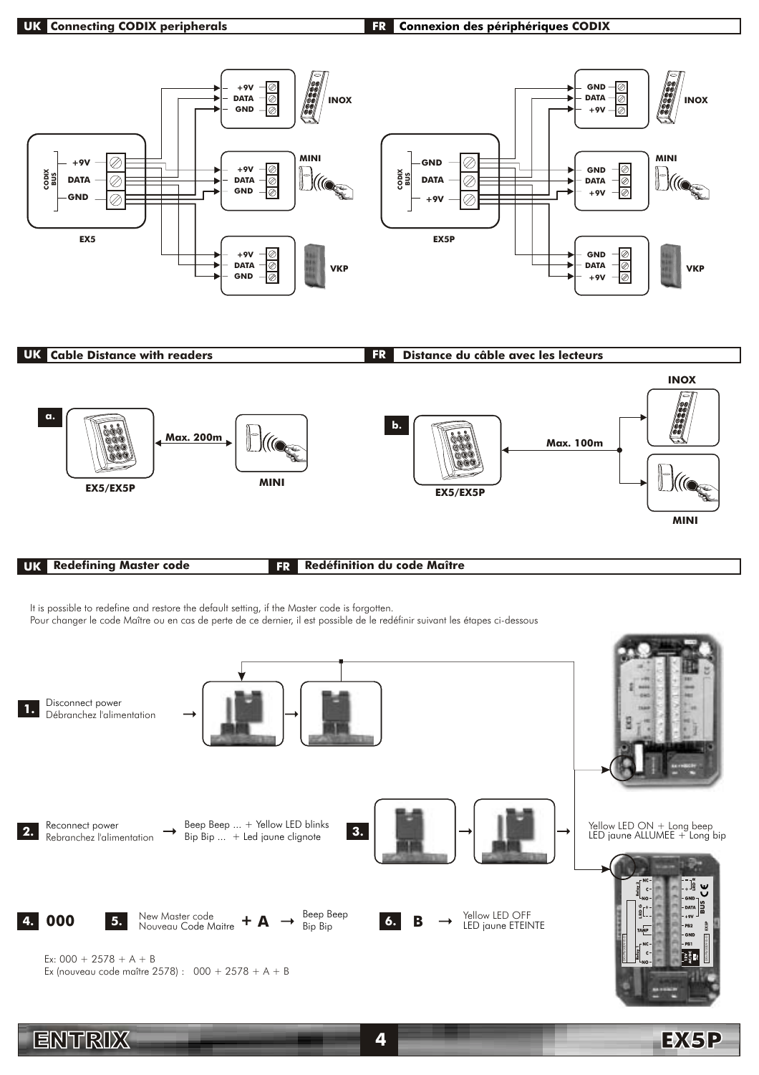#### **UK Connecting CODIX peripherals CODIX CODIX CODIX CODIX CODIX CODIX CODIX CODIX CODIX CODIX CODIX CODIX CODIX CODIX CODIX CODIX CODIX CODIX CODIX CODIX CODIX CODIX CODIX C FR**



Ex:  $000 + 2578 + A + B$ Ex (nouveau code maître 2578) :  $000 + 2578 + A + B$ 

ENTRIX **4**

EX5P

\_្ទៃខ្ញុំ <mark>‼</mark>{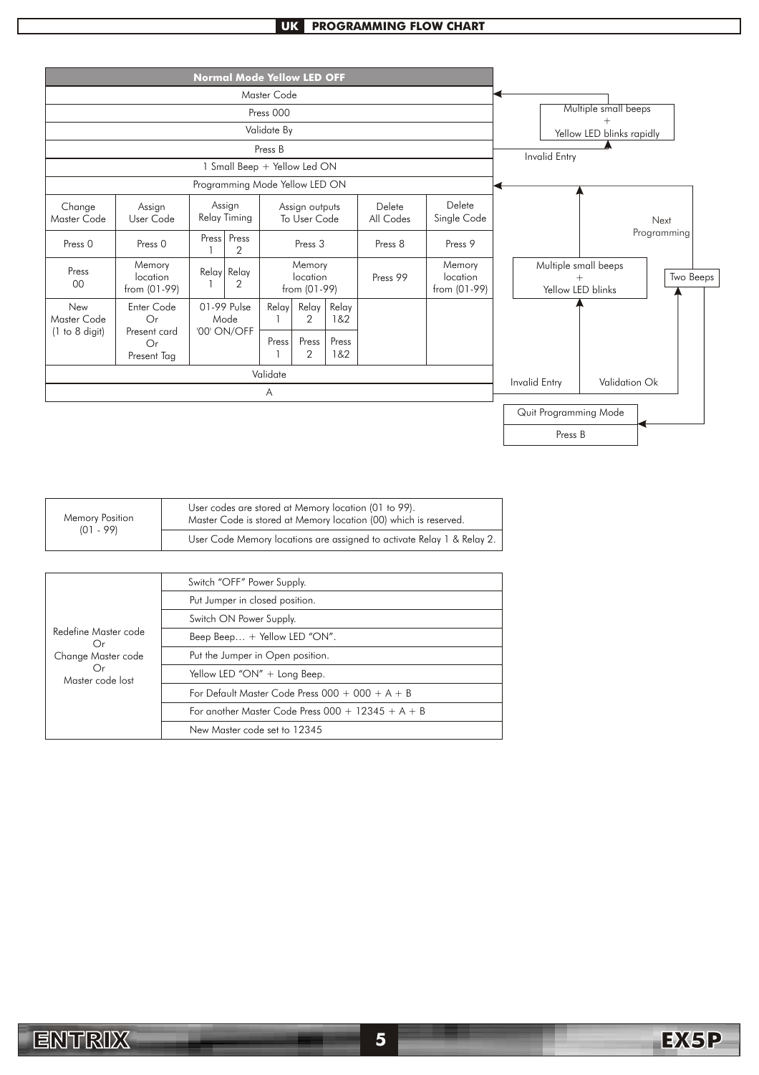# **UK PROGRAMMING FLOW CHART**



| Memory Position<br>(01 - 99) | User codes are stored at Memory location (01 to 99).<br>Master Code is stored at Memory location (00) which is reserved. |
|------------------------------|--------------------------------------------------------------------------------------------------------------------------|
|                              | User Code Memory locations are assigned to activate Relay 1 & Relay 2.                                                   |

| Redefine Master code<br>( )r<br>Change Master code<br>()r<br>Master code lost | Switch "OFF" Power Supply.                          |
|-------------------------------------------------------------------------------|-----------------------------------------------------|
|                                                                               | Put Jumper in closed position.                      |
|                                                                               | Switch ON Power Supply.                             |
|                                                                               | Beep Beep + Yellow LED "ON".                        |
|                                                                               | Put the Jumper in Open position.                    |
|                                                                               | Yellow LED "ON" + Long Beep.                        |
|                                                                               | For Default Master Code Press $000 + 000 + A + B$   |
|                                                                               | For another Master Code Press $000 + 12345 + A + B$ |
|                                                                               | New Master code set to 12345                        |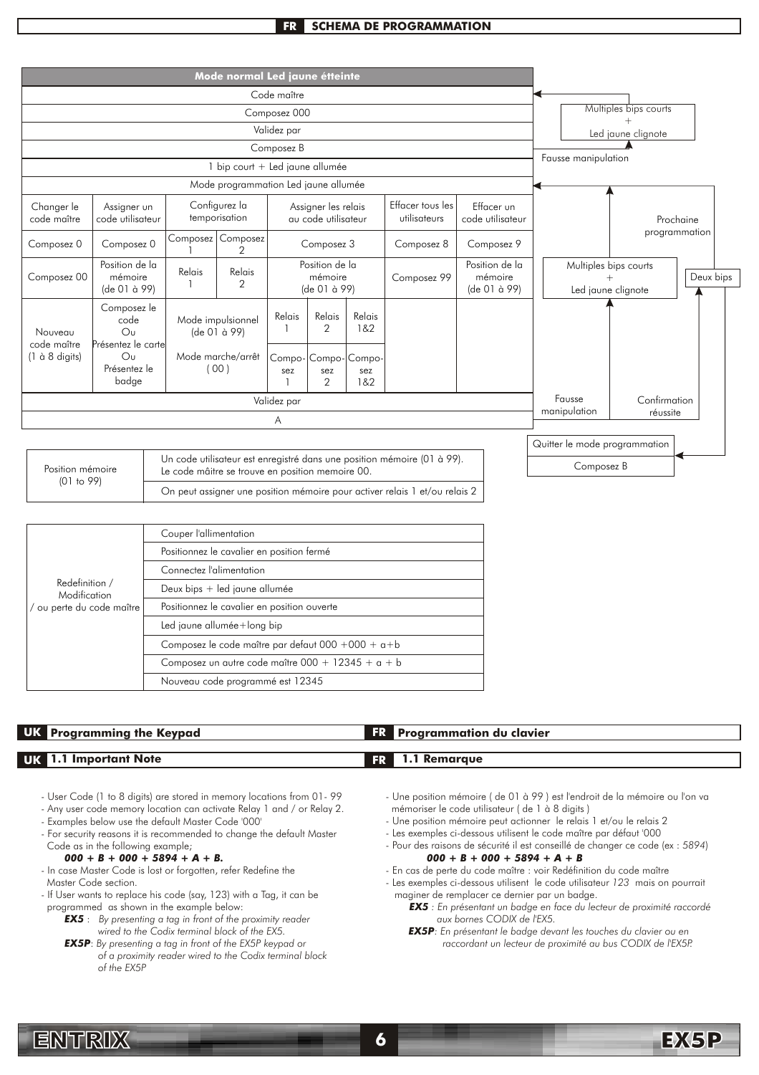## **FR SCHEMA DE PROGRAMMATION**



| Redefinition /<br>Modification<br>/ ou perte du code maître | Couper l'allimentation                                 |
|-------------------------------------------------------------|--------------------------------------------------------|
|                                                             | Positionnez le cavalier en position fermé              |
|                                                             | Connectez l'alimentation                               |
|                                                             | Deux bips + led jaune allumée                          |
|                                                             | Positionnez le cavalier en position ouverte            |
|                                                             | Led jaune allumée+long bip                             |
|                                                             | Composez le code maître par defaut $000 + 000 + a + b$ |
|                                                             | Composez un autre code maître $000 + 12345 + a + b$    |
|                                                             | Nouveau code programmé est 12345                       |

| <b>UK</b> Programming the Keypad | <b>Programmation du clavier</b> |  |
|----------------------------------|---------------------------------|--|
|                                  |                                 |  |
| <b>UK</b> 1.1 Important Note     | 1.1 Remarque<br><b>FR</b>       |  |

- User Code (1 to 8 digits) are stored in memory locations from 01- 99
- Any user code memory location can activate Relay 1 and / or Relay 2.
- Examples below use the default Master Code '000'
- For security reasons it is recommended to change the default Master Code as in the following example;

### *000 + B + 000 + 5894 + A + B.*

- In case Master Code is lost or forgotten, refer Redefine the Master Code section.
- If User wants to replace his code (say, 123) with a Tag, it can be programmed as shown in the example below:
	- *EX5* : *By presenting a tag in front of the proximity reader wired to the Codix terminal block of the EX5.*
	- *EX5P*: *By presenting a tag in front of the EX5P keypad or of a proximity reader wired to the Codix terminal block of the EX5P*
- Une position mémoire ( de 01 à 99 ) est l'endroit de la mémoire ou l'on va mémoriser le code utilisateur ( de 1 à 8 digits )
- Une position mémoire peut actionner le relais 1 et/ou le relais 2
- Les exemples ci-dessous utilisent le code maître par défaut '000
- Pour des raisons de sécurité il est conseillé de changer ce code (ex : *5894*) *000 + B + 000 + 5894 + A + B*
- En cas de perte du code maître : voir Redéfinition du code maître - Les exemples ci-dessous utilisent le code utilisateur *123* mais on pourrait
- maginer de remplacer ce dernier par un badge.
	- *EX5 : En présentant un badge en face du lecteur de proximité raccordé aux bornes CODIX de l'EX5.*
	- *EX5P: En présentant le badge devant les touches du clavier ou en raccordant un lecteur de proximité au bus CODIX de l'EX5P.*

EX5P

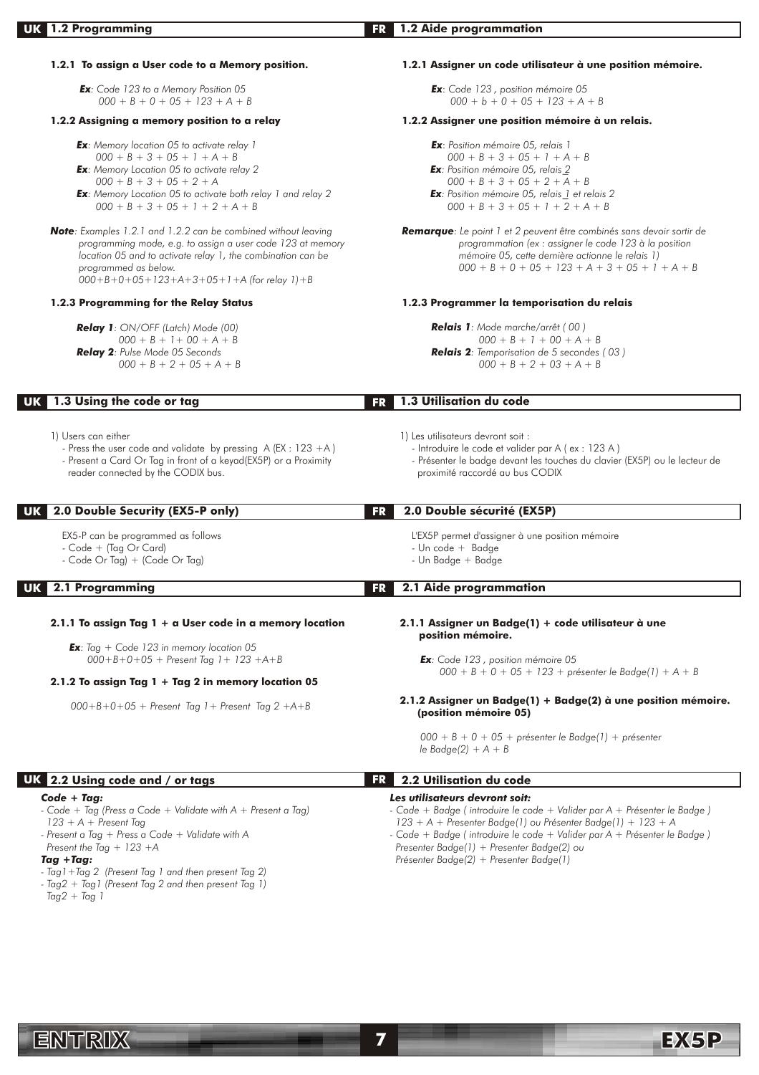| <b>UK</b> 1.2 Programming                                                                                                                                                                                                                                                                                                       | 1.2 Aide programmation<br>FR.                                                                                                                                                                                                                                                                                                                   |
|---------------------------------------------------------------------------------------------------------------------------------------------------------------------------------------------------------------------------------------------------------------------------------------------------------------------------------|-------------------------------------------------------------------------------------------------------------------------------------------------------------------------------------------------------------------------------------------------------------------------------------------------------------------------------------------------|
|                                                                                                                                                                                                                                                                                                                                 |                                                                                                                                                                                                                                                                                                                                                 |
| 1.2.1 To assign a User code to a Memory position.                                                                                                                                                                                                                                                                               | 1.2.1 Assigner un code utilisateur à une position mémoire.                                                                                                                                                                                                                                                                                      |
| Ex: Code 123 to a Memory Position 05<br>$000 + B + 0 + 05 + 123 + A + B$                                                                                                                                                                                                                                                        | Ex: Code 123, position mémoire 05<br>$000 + b + 0 + 05 + 123 + A + B$                                                                                                                                                                                                                                                                           |
| 1.2.2 Assigning a memory position to a relay                                                                                                                                                                                                                                                                                    | 1.2.2 Assigner une position mémoire à un relais.                                                                                                                                                                                                                                                                                                |
| <b>Ex:</b> Memory location 05 to activate relay 1<br>$000 + B + 3 + 05 + 1 + A + B$<br><b>Ex:</b> Memory Location 05 to activate relay 2<br>$000 + B + 3 + 05 + 2 + A$<br><b>Ex</b> : Memory Location 05 to activate both relay 1 and relay 2<br>$000 + B + 3 + 05 + 1 + 2 + A + B$                                             | Ex: Position mémoire 05, relais 1<br>$000 + B + 3 + 05 + 1 + A + B$<br><b>Ex</b> : Position mémoire 05, relais 2<br>$000 + B + 3 + 05 + 2 + A + B$<br><b>Ex</b> : Position mémoire 05, relais 1 et relais 2<br>$000 + B + 3 + 05 + 1 + 2 + A + B$                                                                                               |
| Note: Examples 1.2.1 and 1.2.2 can be combined without leaving<br>programming mode, e.g. to assign a user code 123 at memory<br>location 05 and to activate relay 1, the combination can be<br>programmed as below.<br>$000 + B + 0 + 05 + 123 + A + 3 + 05 + 1 + A$ (for relay 1) + B                                          | Remarque: Le point 1 et 2 peuvent être combinés sans devoir sortir de<br>programmation (ex : assigner le code 123 à la position<br>mémoire 05, cette dernière actionne le relais 1)<br>$000 + B + 0 + 05 + 123 + A + 3 + 05 + 1 + A + B$                                                                                                        |
| 1.2.3 Programming for the Relay Status                                                                                                                                                                                                                                                                                          | 1.2.3 Programmer la temporisation du relais                                                                                                                                                                                                                                                                                                     |
| Relay 1: ON/OFF (Latch) Mode (00)<br>$000 + B + 1 + 00 + A + B$<br>Relay 2: Pulse Mode 05 Seconds<br>$000 + B + 2 + 05 + A + B$                                                                                                                                                                                                 | Relais 1: Mode marche/arrêt (00)<br>$000 + B + 1 + 00 + A + B$<br>Relais 2: Temporisation de 5 secondes (03)<br>$000 + B + 2 + 03 + A + B$                                                                                                                                                                                                      |
| 1.3 Using the code or tag<br>UK                                                                                                                                                                                                                                                                                                 | 1.3 Utilisation du code<br><b>FR</b>                                                                                                                                                                                                                                                                                                            |
| 1) Users can either<br>- Press the user code and validate by pressing $A (EX : 123 + A)$<br>- Present a Card Or Tag in front of a keyad(EX5P) or a Proximity<br>reader connected by the CODIX bus.                                                                                                                              | 1) Les utilisateurs devront soit :<br>- Introduire le code et valider par A (ex : 123 A)<br>- Présenter le badge devant les touches du clavier (EX5P) ou le lecteur de<br>proximité raccordé au bus CODIX                                                                                                                                       |
| 2.0 Double Security (EX5-P only)<br>UK                                                                                                                                                                                                                                                                                          | 2.0 Double sécurité (EX5P)<br><b>FR</b>                                                                                                                                                                                                                                                                                                         |
| EX5-P can be programmed as follows<br>- Code + (Tag Or Card)<br>- Code Or Tag) + (Code Or Tag)                                                                                                                                                                                                                                  | L'EX5P permet d'assigner à une position mémoire<br>- Un code + Badge<br>- Un Badge + Badge                                                                                                                                                                                                                                                      |
| <b>UK</b> 2.1 Programming                                                                                                                                                                                                                                                                                                       | 2.1 Aide programmation<br>FR I                                                                                                                                                                                                                                                                                                                  |
| 2.1.1 To assign Tag $1 + a$ User code in a memory location                                                                                                                                                                                                                                                                      | 2.1.1 Assigner un Badge(1) + code utilisateur à une<br>position mémoire.                                                                                                                                                                                                                                                                        |
| <b>Ex</b> : Tag + Code 123 in memory location 05<br>$000 + B + 0 + 05 +$ Present Tag 1 + 123 +A+B                                                                                                                                                                                                                               | <b>Ex</b> : Code 123, position mémoire 05<br>$000 + B + 0 + 05 + 123 +$ présenter le Badge(1) + A + B                                                                                                                                                                                                                                           |
| 2.1.2 To assign Tag $1 + Tag 2$ in memory location 05                                                                                                                                                                                                                                                                           | 2.1.2 Assigner un Badge(1) + Badge(2) à une position mémoire.                                                                                                                                                                                                                                                                                   |
| $000+B+0+05$ + Present Tag 1 + Present Tag 2 +A+B                                                                                                                                                                                                                                                                               | (position mémoire 05)                                                                                                                                                                                                                                                                                                                           |
|                                                                                                                                                                                                                                                                                                                                 | $000 + B + 0 + 05 +$ présenter le Badge(1) + présenter<br>le Badge $(2) + A + B$                                                                                                                                                                                                                                                                |
| UK 2.2 Using code and / or tags                                                                                                                                                                                                                                                                                                 | 2.2 Utilisation du code<br>FR.                                                                                                                                                                                                                                                                                                                  |
| $Code + Tag:$<br>- Code + Tag (Press a Code + Validate with $A$ + Present a Tag)<br>$123 + A +$ Present Tag<br>- Present a Tag + Press a Code + Validate with A<br>Present the Tag $+$ 123 +A<br>$Tag + Tag:$<br>- Tag 1 + Tag 2 (Present Tag 1 and then present Tag 2)<br>- Tag2 + Tag1 (Present Tag 2 and then present Tag 1) | Les utilisateurs devront soit:<br>- Code + Badge (introduire le code + Valider par A + Présenter le Badge)<br>123 + A + Presenter Badge(1) ou Présenter Badge(1) + 123 + A<br>- Code + Badge (introduire le code + Valider par A + Présenter le Badge)<br>Presenter Badge(1) + Presenter Badge(2) ou<br>Présenter Badge(2) + Presenter Badge(1) |

ENTRIX **7**

 *Tag2 + Tag 1*

EX5P